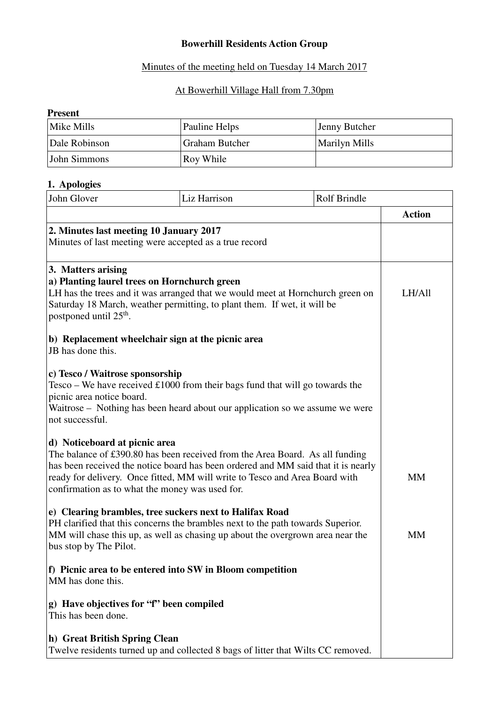# **Bowerhill Residents Action Group**

### Minutes of the meeting held on Tuesday 14 March 2017

### At Bowerhill Village Hall from 7.30pm

### **Present**

| Mike Mills    | Pauline Helps         | Jenny Butcher        |
|---------------|-----------------------|----------------------|
| Dale Robinson | <b>Graham Butcher</b> | <b>Marilyn Mills</b> |
| John Simmons  | Roy While             |                      |

# **1. Apologies**

| John Glover                                                                                                                                                                                                                                                                                                                          | Liz Harrison                                                                                                                                                   | Rolf Brindle |               |
|--------------------------------------------------------------------------------------------------------------------------------------------------------------------------------------------------------------------------------------------------------------------------------------------------------------------------------------|----------------------------------------------------------------------------------------------------------------------------------------------------------------|--------------|---------------|
|                                                                                                                                                                                                                                                                                                                                      |                                                                                                                                                                |              | <b>Action</b> |
| 2. Minutes last meeting 10 January 2017                                                                                                                                                                                                                                                                                              | Minutes of last meeting were accepted as a true record                                                                                                         |              |               |
| 3. Matters arising<br>a) Planting laurel trees on Hornchurch green<br>LH has the trees and it was arranged that we would meet at Hornchurch green on<br>Saturday 18 March, weather permitting, to plant them. If wet, it will be<br>postponed until 25 <sup>th</sup> .                                                               |                                                                                                                                                                |              | LH/All        |
| JB has done this.                                                                                                                                                                                                                                                                                                                    | b) Replacement wheelchair sign at the picnic area                                                                                                              |              |               |
| c) Tesco / Waitrose sponsorship<br>picnic area notice board.<br>not successful.                                                                                                                                                                                                                                                      | Tesco - We have received $£1000$ from their bags fund that will go towards the<br>Waitrose - Nothing has been heard about our application so we assume we were |              |               |
| d) Noticeboard at picnic area<br>The balance of £390.80 has been received from the Area Board. As all funding<br>has been received the notice board has been ordered and MM said that it is nearly<br>ready for delivery. Once fitted, MM will write to Tesco and Area Board with<br>confirmation as to what the money was used for. |                                                                                                                                                                |              | <b>MM</b>     |
| e) Clearing brambles, tree suckers next to Halifax Road<br>PH clarified that this concerns the brambles next to the path towards Superior.<br>MM will chase this up, as well as chasing up about the overgrown area near the<br>bus stop by The Pilot.                                                                               |                                                                                                                                                                |              | <b>MM</b>     |
| MM has done this.                                                                                                                                                                                                                                                                                                                    | f) Picnic area to be entered into SW in Bloom competition                                                                                                      |              |               |
| g) Have objectives for "f" been compiled<br>This has been done.                                                                                                                                                                                                                                                                      |                                                                                                                                                                |              |               |
| h) Great British Spring Clean                                                                                                                                                                                                                                                                                                        | Twelve residents turned up and collected 8 bags of litter that Wilts CC removed.                                                                               |              |               |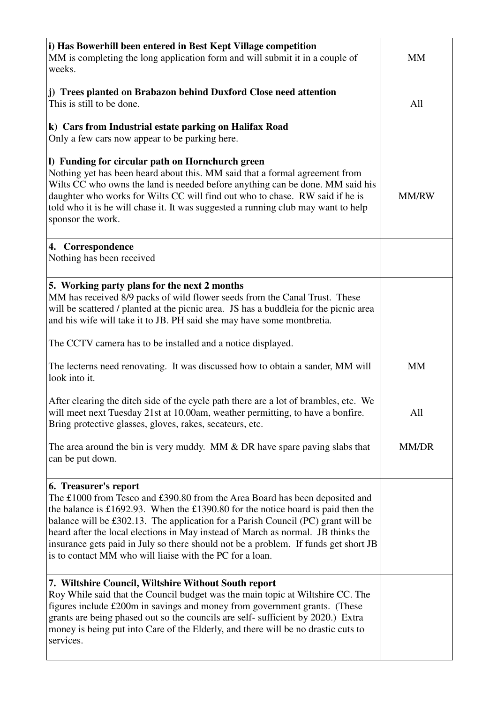| i) Has Bowerhill been entered in Best Kept Village competition<br>MM is completing the long application form and will submit it in a couple of<br>weeks.                                                                                                                                                                                                                                                                                                                                                            | <b>MM</b>    |
|---------------------------------------------------------------------------------------------------------------------------------------------------------------------------------------------------------------------------------------------------------------------------------------------------------------------------------------------------------------------------------------------------------------------------------------------------------------------------------------------------------------------|--------------|
| j) Trees planted on Brabazon behind Duxford Close need attention<br>This is still to be done.                                                                                                                                                                                                                                                                                                                                                                                                                       | All          |
| k) Cars from Industrial estate parking on Halifax Road<br>Only a few cars now appear to be parking here.                                                                                                                                                                                                                                                                                                                                                                                                            |              |
| I) Funding for circular path on Hornchurch green<br>Nothing yet has been heard about this. MM said that a formal agreement from<br>Wilts CC who owns the land is needed before anything can be done. MM said his<br>daughter who works for Wilts CC will find out who to chase. RW said if he is<br>told who it is he will chase it. It was suggested a running club may want to help<br>sponsor the work.                                                                                                          | <b>MM/RW</b> |
| 4. Correspondence<br>Nothing has been received                                                                                                                                                                                                                                                                                                                                                                                                                                                                      |              |
| 5. Working party plans for the next 2 months<br>MM has received 8/9 packs of wild flower seeds from the Canal Trust. These<br>will be scattered / planted at the picnic area. JS has a buddleia for the picnic area<br>and his wife will take it to JB. PH said she may have some montbretia.                                                                                                                                                                                                                       |              |
| The CCTV camera has to be installed and a notice displayed.                                                                                                                                                                                                                                                                                                                                                                                                                                                         |              |
| The lecterns need renovating. It was discussed how to obtain a sander, MM will<br>look into it.                                                                                                                                                                                                                                                                                                                                                                                                                     | <b>MM</b>    |
| After clearing the ditch side of the cycle path there are a lot of brambles, etc. We<br>will meet next Tuesday 21st at 10.00am, weather permitting, to have a bonfire.<br>Bring protective glasses, gloves, rakes, secateurs, etc.                                                                                                                                                                                                                                                                                  | All          |
| The area around the bin is very muddy. MM $&$ DR have spare paving slabs that<br>can be put down.                                                                                                                                                                                                                                                                                                                                                                                                                   | MM/DR        |
| 6. Treasurer's report<br>The £1000 from Tesco and £390.80 from the Area Board has been deposited and<br>the balance is £1692.93. When the £1390.80 for the notice board is paid then the<br>balance will be £302.13. The application for a Parish Council (PC) grant will be<br>heard after the local elections in May instead of March as normal. JB thinks the<br>insurance gets paid in July so there should not be a problem. If funds get short JB<br>is to contact MM who will liaise with the PC for a loan. |              |
| 7. Wiltshire Council, Wiltshire Without South report<br>Roy While said that the Council budget was the main topic at Wiltshire CC. The<br>figures include £200m in savings and money from government grants. (These<br>grants are being phased out so the councils are self- sufficient by 2020.) Extra<br>money is being put into Care of the Elderly, and there will be no drastic cuts to<br>services.                                                                                                           |              |